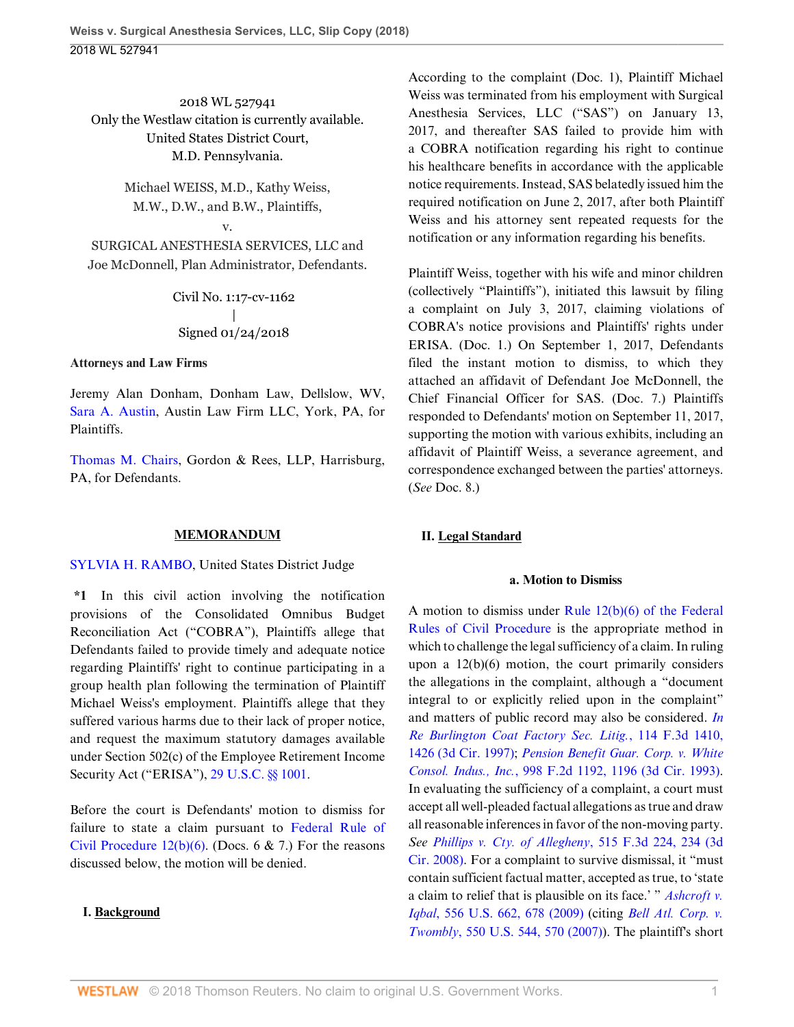2018 WL 527941 Only the Westlaw citation is currently available. United States District Court, M.D. Pennsylvania.

> Michael WEISS, M.D., Kathy Weiss, M.W., D.W., and B.W., Plaintiffs,

### v.

SURGICAL ANESTHESIA SERVICES, LLC and Joe McDonnell, Plan Administrator, Defendants.

> Civil No. 1:17-cv-1162  $\overline{\phantom{a}}$ Signed 01/24/2018

### **Attorneys and Law Firms**

Jeremy Alan Donham, Donham Law, Dellslow, WV, [Sara A. Austin](http://www.westlaw.com/Link/Document/FullText?findType=h&pubNum=176284&cite=0297762001&originatingDoc=I5c080f20019f11e8b565bb5dd3180177&refType=RQ&originationContext=document&vr=3.0&rs=cblt1.0&transitionType=DocumentItem&contextData=(sc.UserEnteredCitation)), Austin Law Firm LLC, York, PA, for Plaintiffs.

[Thomas M. Chairs](http://www.westlaw.com/Link/Document/FullText?findType=h&pubNum=176284&cite=0232377201&originatingDoc=I5c080f20019f11e8b565bb5dd3180177&refType=RQ&originationContext=document&vr=3.0&rs=cblt1.0&transitionType=DocumentItem&contextData=(sc.UserEnteredCitation)), Gordon & Rees, LLP, Harrisburg, PA, for Defendants.

### **MEMORANDUM**

[SYLVIA H. RAMBO](http://www.westlaw.com/Link/Document/FullText?findType=h&pubNum=176284&cite=0242254301&originatingDoc=I5c080f20019f11e8b565bb5dd3180177&refType=RQ&originationContext=document&vr=3.0&rs=cblt1.0&transitionType=DocumentItem&contextData=(sc.UserEnteredCitation)), United States District Judge

**\*1** In this civil action involving the notification provisions of the Consolidated Omnibus Budget Reconciliation Act ("COBRA"), Plaintiffs allege that Defendants failed to provide timely and adequate notice regarding Plaintiffs' right to continue participating in a group health plan following the termination of Plaintiff Michael Weiss's employment. Plaintiffs allege that they suffered various harms due to their lack of proper notice, and request the maximum statutory damages available under Section 502(c) of the Employee Retirement Income Security Act ("ERISA"), [29 U.S.C. §§ 1001.](http://www.westlaw.com/Link/Document/FullText?findType=L&pubNum=1000546&cite=29USCAS1001&originatingDoc=I5c080f20019f11e8b565bb5dd3180177&refType=LQ&originationContext=document&vr=3.0&rs=cblt1.0&transitionType=DocumentItem&contextData=(sc.UserEnteredCitation))

Before the court is Defendants' motion to dismiss for failure to state a claim pursuant to [Federal Rule of](http://www.westlaw.com/Link/Document/FullText?findType=L&pubNum=1000600&cite=USFRCPR12&originatingDoc=I5c080f20019f11e8b565bb5dd3180177&refType=LQ&originationContext=document&vr=3.0&rs=cblt1.0&transitionType=DocumentItem&contextData=(sc.UserEnteredCitation)) Civil Procedure  $12(b)(6)$ . (Docs. 6 & 7.) For the reasons discussed below, the motion will be denied.

## **I. Background**

According to the complaint (Doc. 1), Plaintiff Michael Weiss was terminated from his employment with Surgical Anesthesia Services, LLC ("SAS") on January 13, 2017, and thereafter SAS failed to provide him with a COBRA notification regarding his right to continue his healthcare benefits in accordance with the applicable notice requirements. Instead, SAS belatedly issued him the required notification on June 2, 2017, after both Plaintiff Weiss and his attorney sent repeated requests for the notification or any information regarding his benefits.

Plaintiff Weiss, together with his wife and minor children (collectively "Plaintiffs"), initiated this lawsuit by filing a complaint on July 3, 2017, claiming violations of COBRA's notice provisions and Plaintiffs' rights under ERISA. (Doc. 1.) On September 1, 2017, Defendants filed the instant motion to dismiss, to which they attached an affidavit of Defendant Joe McDonnell, the Chief Financial Officer for SAS. (Doc. 7.) Plaintiffs responded to Defendants' motion on September 11, 2017, supporting the motion with various exhibits, including an affidavit of Plaintiff Weiss, a severance agreement, and correspondence exchanged between the parties' attorneys. (*See* Doc. 8.)

# **II. Legal Standard**

### **a. Motion to Dismiss**

A motion to dismiss under [Rule 12\(b\)\(6\) of the Federal](http://www.westlaw.com/Link/Document/FullText?findType=L&pubNum=1000600&cite=USFRCPR12&originatingDoc=I5c080f20019f11e8b565bb5dd3180177&refType=LQ&originationContext=document&vr=3.0&rs=cblt1.0&transitionType=DocumentItem&contextData=(sc.UserEnteredCitation)) [Rules of Civil Procedure](http://www.westlaw.com/Link/Document/FullText?findType=L&pubNum=1000600&cite=USFRCPR12&originatingDoc=I5c080f20019f11e8b565bb5dd3180177&refType=LQ&originationContext=document&vr=3.0&rs=cblt1.0&transitionType=DocumentItem&contextData=(sc.UserEnteredCitation)) is the appropriate method in which to challenge the legal sufficiency of a claim. In ruling upon a 12(b)(6) motion, the court primarily considers the allegations in the complaint, although a "document integral to or explicitly relied upon in the complaint" and matters of public record may also be considered. *[In](http://www.westlaw.com/Link/Document/FullText?findType=Y&serNum=1997124449&pubNum=0000506&originatingDoc=I5c080f20019f11e8b565bb5dd3180177&refType=RP&fi=co_pp_sp_506_1426&originationContext=document&vr=3.0&rs=cblt1.0&transitionType=DocumentItem&contextData=(sc.UserEnteredCitation)#co_pp_sp_506_1426) [Re Burlington Coat Factory Sec. Litig.](http://www.westlaw.com/Link/Document/FullText?findType=Y&serNum=1997124449&pubNum=0000506&originatingDoc=I5c080f20019f11e8b565bb5dd3180177&refType=RP&fi=co_pp_sp_506_1426&originationContext=document&vr=3.0&rs=cblt1.0&transitionType=DocumentItem&contextData=(sc.UserEnteredCitation)#co_pp_sp_506_1426)*, 114 F.3d 1410, [1426 \(3d Cir. 1997\);](http://www.westlaw.com/Link/Document/FullText?findType=Y&serNum=1997124449&pubNum=0000506&originatingDoc=I5c080f20019f11e8b565bb5dd3180177&refType=RP&fi=co_pp_sp_506_1426&originationContext=document&vr=3.0&rs=cblt1.0&transitionType=DocumentItem&contextData=(sc.UserEnteredCitation)#co_pp_sp_506_1426) *[Pension Benefit Guar. Corp. v. White](http://www.westlaw.com/Link/Document/FullText?findType=Y&serNum=1993132632&pubNum=0000350&originatingDoc=I5c080f20019f11e8b565bb5dd3180177&refType=RP&fi=co_pp_sp_350_1196&originationContext=document&vr=3.0&rs=cblt1.0&transitionType=DocumentItem&contextData=(sc.UserEnteredCitation)#co_pp_sp_350_1196) Consol. Indus., Inc.*[, 998 F.2d 1192, 1196 \(3d Cir. 1993\)](http://www.westlaw.com/Link/Document/FullText?findType=Y&serNum=1993132632&pubNum=0000350&originatingDoc=I5c080f20019f11e8b565bb5dd3180177&refType=RP&fi=co_pp_sp_350_1196&originationContext=document&vr=3.0&rs=cblt1.0&transitionType=DocumentItem&contextData=(sc.UserEnteredCitation)#co_pp_sp_350_1196). In evaluating the sufficiency of a complaint, a court must accept all well-pleaded factual allegations as true and draw all reasonable inferences in favor of the non-moving party. *See [Phillips v. Cty. of Allegheny](http://www.westlaw.com/Link/Document/FullText?findType=Y&serNum=2015125207&pubNum=0000506&originatingDoc=I5c080f20019f11e8b565bb5dd3180177&refType=RP&fi=co_pp_sp_506_234&originationContext=document&vr=3.0&rs=cblt1.0&transitionType=DocumentItem&contextData=(sc.UserEnteredCitation)#co_pp_sp_506_234)*, 515 F.3d 224, 234 (3d [Cir. 2008\)](http://www.westlaw.com/Link/Document/FullText?findType=Y&serNum=2015125207&pubNum=0000506&originatingDoc=I5c080f20019f11e8b565bb5dd3180177&refType=RP&fi=co_pp_sp_506_234&originationContext=document&vr=3.0&rs=cblt1.0&transitionType=DocumentItem&contextData=(sc.UserEnteredCitation)#co_pp_sp_506_234). For a complaint to survive dismissal, it "must contain sufficient factual matter, accepted as true, to 'state a claim to relief that is plausible on its face.' " *[Ashcroft v.](http://www.westlaw.com/Link/Document/FullText?findType=Y&serNum=2018848474&pubNum=0000780&originatingDoc=I5c080f20019f11e8b565bb5dd3180177&refType=RP&fi=co_pp_sp_780_678&originationContext=document&vr=3.0&rs=cblt1.0&transitionType=DocumentItem&contextData=(sc.UserEnteredCitation)#co_pp_sp_780_678) Iqbal*[, 556 U.S. 662, 678 \(2009\)](http://www.westlaw.com/Link/Document/FullText?findType=Y&serNum=2018848474&pubNum=0000780&originatingDoc=I5c080f20019f11e8b565bb5dd3180177&refType=RP&fi=co_pp_sp_780_678&originationContext=document&vr=3.0&rs=cblt1.0&transitionType=DocumentItem&contextData=(sc.UserEnteredCitation)#co_pp_sp_780_678) (citing *[Bell Atl. Corp. v.](http://www.westlaw.com/Link/Document/FullText?findType=Y&serNum=2012293296&pubNum=0000780&originatingDoc=I5c080f20019f11e8b565bb5dd3180177&refType=RP&fi=co_pp_sp_780_570&originationContext=document&vr=3.0&rs=cblt1.0&transitionType=DocumentItem&contextData=(sc.UserEnteredCitation)#co_pp_sp_780_570) Twombly*[, 550 U.S. 544, 570 \(2007\)\)](http://www.westlaw.com/Link/Document/FullText?findType=Y&serNum=2012293296&pubNum=0000780&originatingDoc=I5c080f20019f11e8b565bb5dd3180177&refType=RP&fi=co_pp_sp_780_570&originationContext=document&vr=3.0&rs=cblt1.0&transitionType=DocumentItem&contextData=(sc.UserEnteredCitation)#co_pp_sp_780_570). The plaintiff's short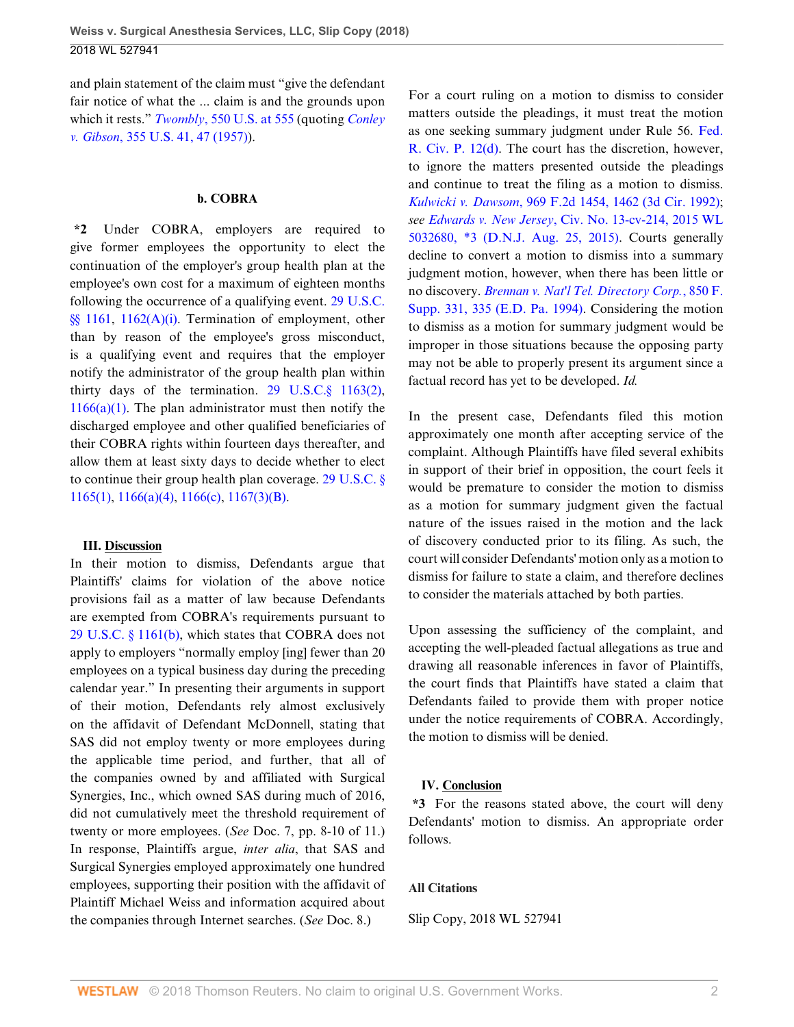and plain statement of the claim must "give the defendant fair notice of what the ... claim is and the grounds upon which it rests." *Twombly*[, 550 U.S. at 555](http://www.westlaw.com/Link/Document/FullText?findType=Y&serNum=2012293296&pubNum=0000780&originatingDoc=I5c080f20019f11e8b565bb5dd3180177&refType=RP&fi=co_pp_sp_780_555&originationContext=document&vr=3.0&rs=cblt1.0&transitionType=DocumentItem&contextData=(sc.UserEnteredCitation)#co_pp_sp_780_555) (quoting *[Conley](http://www.westlaw.com/Link/Document/FullText?findType=Y&serNum=1957120403&pubNum=0000780&originatingDoc=I5c080f20019f11e8b565bb5dd3180177&refType=RP&fi=co_pp_sp_780_47&originationContext=document&vr=3.0&rs=cblt1.0&transitionType=DocumentItem&contextData=(sc.UserEnteredCitation)#co_pp_sp_780_47) v. Gibson*[, 355 U.S. 41, 47 \(1957\)](http://www.westlaw.com/Link/Document/FullText?findType=Y&serNum=1957120403&pubNum=0000780&originatingDoc=I5c080f20019f11e8b565bb5dd3180177&refType=RP&fi=co_pp_sp_780_47&originationContext=document&vr=3.0&rs=cblt1.0&transitionType=DocumentItem&contextData=(sc.UserEnteredCitation)#co_pp_sp_780_47)).

#### **b. COBRA**

**\*2** Under COBRA, employers are required to give former employees the opportunity to elect the continuation of the employer's group health plan at the employee's own cost for a maximum of eighteen months following the occurrence of a qualifying event. [29 U.S.C.](http://www.westlaw.com/Link/Document/FullText?findType=L&pubNum=1000546&cite=29USCAS1161&originatingDoc=I5c080f20019f11e8b565bb5dd3180177&refType=LQ&originationContext=document&vr=3.0&rs=cblt1.0&transitionType=DocumentItem&contextData=(sc.UserEnteredCitation)) [§§ 1161,](http://www.westlaw.com/Link/Document/FullText?findType=L&pubNum=1000546&cite=29USCAS1161&originatingDoc=I5c080f20019f11e8b565bb5dd3180177&refType=LQ&originationContext=document&vr=3.0&rs=cblt1.0&transitionType=DocumentItem&contextData=(sc.UserEnteredCitation)) [1162\(A\)\(i\).](http://www.westlaw.com/Link/Document/FullText?findType=L&pubNum=1000546&cite=29USCAS1162&originatingDoc=I5c080f20019f11e8b565bb5dd3180177&refType=LQ&originationContext=document&vr=3.0&rs=cblt1.0&transitionType=DocumentItem&contextData=(sc.UserEnteredCitation)) Termination of employment, other than by reason of the employee's gross misconduct, is a qualifying event and requires that the employer notify the administrator of the group health plan within thirty days of the termination. 29 U.S.C. $\S$  1163(2),  $1166(a)(1)$ . The plan administrator must then notify the discharged employee and other qualified beneficiaries of their COBRA rights within fourteen days thereafter, and allow them at least sixty days to decide whether to elect to continue their group health plan coverage. [29 U.S.C. §](http://www.westlaw.com/Link/Document/FullText?findType=L&pubNum=1000546&cite=29USCAS1165&originatingDoc=I5c080f20019f11e8b565bb5dd3180177&refType=LQ&originationContext=document&vr=3.0&rs=cblt1.0&transitionType=DocumentItem&contextData=(sc.UserEnteredCitation)) [1165\(1\),](http://www.westlaw.com/Link/Document/FullText?findType=L&pubNum=1000546&cite=29USCAS1165&originatingDoc=I5c080f20019f11e8b565bb5dd3180177&refType=LQ&originationContext=document&vr=3.0&rs=cblt1.0&transitionType=DocumentItem&contextData=(sc.UserEnteredCitation)) [1166\(a\)\(4\)](http://www.westlaw.com/Link/Document/FullText?findType=L&pubNum=1000546&cite=29USCAS1166&originatingDoc=I5c080f20019f11e8b565bb5dd3180177&refType=SP&originationContext=document&vr=3.0&rs=cblt1.0&transitionType=DocumentItem&contextData=(sc.UserEnteredCitation)#co_pp_d40e000072291), [1166\(c\)](http://www.westlaw.com/Link/Document/FullText?findType=L&pubNum=1000546&cite=29USCAS1166&originatingDoc=I5c080f20019f11e8b565bb5dd3180177&refType=SP&originationContext=document&vr=3.0&rs=cblt1.0&transitionType=DocumentItem&contextData=(sc.UserEnteredCitation)#co_pp_4b24000003ba5), [1167\(3\)\(B\).](http://www.westlaw.com/Link/Document/FullText?findType=L&pubNum=1000546&cite=29USCAS1167&originatingDoc=I5c080f20019f11e8b565bb5dd3180177&refType=SP&originationContext=document&vr=3.0&rs=cblt1.0&transitionType=DocumentItem&contextData=(sc.UserEnteredCitation)#co_pp_1df5000070944)

#### **III. Discussion**

In their motion to dismiss, Defendants argue that Plaintiffs' claims for violation of the above notice provisions fail as a matter of law because Defendants are exempted from COBRA's requirements pursuant to [29 U.S.C. § 1161\(b\),](http://www.westlaw.com/Link/Document/FullText?findType=L&pubNum=1000546&cite=29USCAS1161&originatingDoc=I5c080f20019f11e8b565bb5dd3180177&refType=SP&originationContext=document&vr=3.0&rs=cblt1.0&transitionType=DocumentItem&contextData=(sc.UserEnteredCitation)#co_pp_a83b000018c76) which states that COBRA does not apply to employers "normally employ [ing] fewer than 20 employees on a typical business day during the preceding calendar year." In presenting their arguments in support of their motion, Defendants rely almost exclusively on the affidavit of Defendant McDonnell, stating that SAS did not employ twenty or more employees during the applicable time period, and further, that all of the companies owned by and affiliated with Surgical Synergies, Inc., which owned SAS during much of 2016, did not cumulatively meet the threshold requirement of twenty or more employees. (*See* Doc. 7, pp. 8-10 of 11.) In response, Plaintiffs argue, *inter alia*, that SAS and Surgical Synergies employed approximately one hundred employees, supporting their position with the affidavit of Plaintiff Michael Weiss and information acquired about the companies through Internet searches. (*See* Doc. 8.)

For a court ruling on a motion to dismiss to consider matters outside the pleadings, it must treat the motion as one seeking summary judgment under Rule 56. [Fed.](http://www.westlaw.com/Link/Document/FullText?findType=L&pubNum=1000600&cite=USFRCPR12&originatingDoc=I5c080f20019f11e8b565bb5dd3180177&refType=LQ&originationContext=document&vr=3.0&rs=cblt1.0&transitionType=DocumentItem&contextData=(sc.UserEnteredCitation)) [R. Civ. P. 12\(d\)](http://www.westlaw.com/Link/Document/FullText?findType=L&pubNum=1000600&cite=USFRCPR12&originatingDoc=I5c080f20019f11e8b565bb5dd3180177&refType=LQ&originationContext=document&vr=3.0&rs=cblt1.0&transitionType=DocumentItem&contextData=(sc.UserEnteredCitation)). The court has the discretion, however, to ignore the matters presented outside the pleadings and continue to treat the filing as a motion to dismiss. *Kulwicki v. Dawsom*[, 969 F.2d 1454, 1462 \(3d Cir. 1992\)](http://www.westlaw.com/Link/Document/FullText?findType=Y&serNum=1992119253&pubNum=0000350&originatingDoc=I5c080f20019f11e8b565bb5dd3180177&refType=RP&fi=co_pp_sp_350_1462&originationContext=document&vr=3.0&rs=cblt1.0&transitionType=DocumentItem&contextData=(sc.UserEnteredCitation)#co_pp_sp_350_1462); *see Edwards v. New Jersey*[, Civ. No. 13-cv-214, 2015 WL](http://www.westlaw.com/Link/Document/FullText?findType=Y&serNum=2036955257&pubNum=0000999&originatingDoc=I5c080f20019f11e8b565bb5dd3180177&refType=RP&originationContext=document&vr=3.0&rs=cblt1.0&transitionType=DocumentItem&contextData=(sc.UserEnteredCitation)) [5032680, \\*3 \(D.N.J. Aug. 25, 2015\)](http://www.westlaw.com/Link/Document/FullText?findType=Y&serNum=2036955257&pubNum=0000999&originatingDoc=I5c080f20019f11e8b565bb5dd3180177&refType=RP&originationContext=document&vr=3.0&rs=cblt1.0&transitionType=DocumentItem&contextData=(sc.UserEnteredCitation)). Courts generally decline to convert a motion to dismiss into a summary judgment motion, however, when there has been little or no discovery. *[Brennan v. Nat'l Tel. Directory Corp.](http://www.westlaw.com/Link/Document/FullText?findType=Y&serNum=1994100001&pubNum=0000345&originatingDoc=I5c080f20019f11e8b565bb5dd3180177&refType=RP&fi=co_pp_sp_345_335&originationContext=document&vr=3.0&rs=cblt1.0&transitionType=DocumentItem&contextData=(sc.UserEnteredCitation)#co_pp_sp_345_335)*, 850 F. [Supp. 331, 335 \(E.D. Pa. 1994\).](http://www.westlaw.com/Link/Document/FullText?findType=Y&serNum=1994100001&pubNum=0000345&originatingDoc=I5c080f20019f11e8b565bb5dd3180177&refType=RP&fi=co_pp_sp_345_335&originationContext=document&vr=3.0&rs=cblt1.0&transitionType=DocumentItem&contextData=(sc.UserEnteredCitation)#co_pp_sp_345_335) Considering the motion to dismiss as a motion for summary judgment would be improper in those situations because the opposing party may not be able to properly present its argument since a factual record has yet to be developed. *Id.*

In the present case, Defendants filed this motion approximately one month after accepting service of the complaint. Although Plaintiffs have filed several exhibits in support of their brief in opposition, the court feels it would be premature to consider the motion to dismiss as a motion for summary judgment given the factual nature of the issues raised in the motion and the lack of discovery conducted prior to its filing. As such, the court will consider Defendants' motion only as a motion to dismiss for failure to state a claim, and therefore declines to consider the materials attached by both parties.

Upon assessing the sufficiency of the complaint, and accepting the well-pleaded factual allegations as true and drawing all reasonable inferences in favor of Plaintiffs, the court finds that Plaintiffs have stated a claim that Defendants failed to provide them with proper notice under the notice requirements of COBRA. Accordingly, the motion to dismiss will be denied.

### **IV. Conclusion**

**\*3** For the reasons stated above, the court will deny Defendants' motion to dismiss. An appropriate order follows.

#### **All Citations**

Slip Copy, 2018 WL 527941